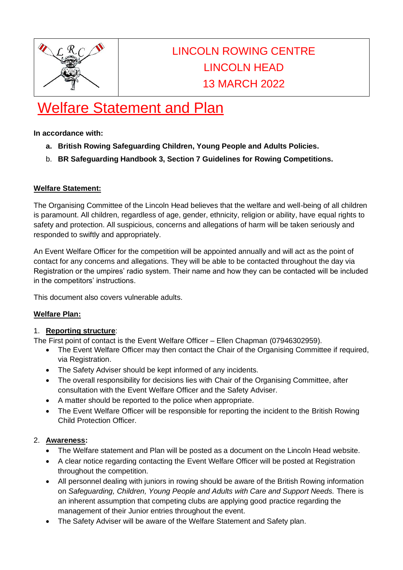

# LINCOLN ROWING CENTRE LINCOLN HEAD 13 MARCH 2022

# Welfare Statement and Plan

**In accordance with:**

- **a. British Rowing Safeguarding Children, Young People and Adults Policies.**
- b. **BR Safeguarding Handbook 3, Section 7 Guidelines for Rowing Competitions.**

# **Welfare Statement:**

The Organising Committee of the Lincoln Head believes that the welfare and well-being of all children is paramount. All children, regardless of age, gender, ethnicity, religion or ability, have equal rights to safety and protection. All suspicious, concerns and allegations of harm will be taken seriously and responded to swiftly and appropriately.

An Event Welfare Officer for the competition will be appointed annually and will act as the point of contact for any concerns and allegations. They will be able to be contacted throughout the day via Registration or the umpires' radio system. Their name and how they can be contacted will be included in the competitors' instructions.

This document also covers vulnerable adults.

# **Welfare Plan:**

# 1. **Reporting structure**:

The First point of contact is the Event Welfare Officer – Ellen Chapman (07946302959).

- The Event Welfare Officer may then contact the Chair of the Organising Committee if required, via Registration.
- The Safety Adviser should be kept informed of any incidents.
- The overall responsibility for decisions lies with Chair of the Organising Committee, after consultation with the Event Welfare Officer and the Safety Adviser.
- A matter should be reported to the police when appropriate.
- The Event Welfare Officer will be responsible for reporting the incident to the British Rowing Child Protection Officer.

# 2. **Awareness:**

- The Welfare statement and Plan will be posted as a document on the Lincoln Head website.
- A clear notice regarding contacting the Event Welfare Officer will be posted at Registration throughout the competition.
- All personnel dealing with juniors in rowing should be aware of the British Rowing information on *Safeguarding, Children, Young People and Adults with Care and Support Needs.* There is an inherent assumption that competing clubs are applying good practice regarding the management of their Junior entries throughout the event.
- The Safety Adviser will be aware of the Welfare Statement and Safety plan.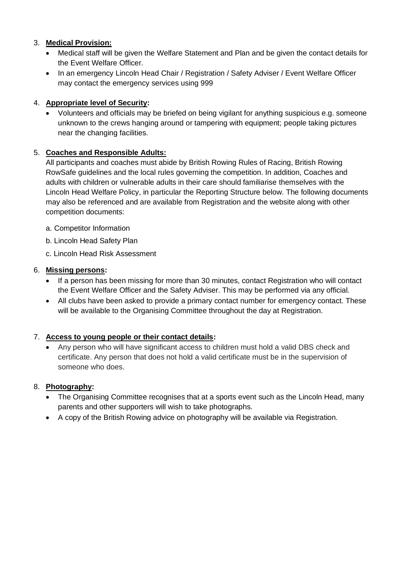# 3. **Medical Provision:**

- Medical staff will be given the Welfare Statement and Plan and be given the contact details for the Event Welfare Officer.
- In an emergency Lincoln Head Chair / Registration / Safety Adviser / Event Welfare Officer may contact the emergency services using 999

# 4. **Appropriate level of Security:**

• Volunteers and officials may be briefed on being vigilant for anything suspicious e.g. someone unknown to the crews hanging around or tampering with equipment; people taking pictures near the changing facilities.

# 5. **Coaches and Responsible Adults:**

All participants and coaches must abide by British Rowing Rules of Racing, British Rowing RowSafe guidelines and the local rules governing the competition. In addition, Coaches and adults with children or vulnerable adults in their care should familiarise themselves with the Lincoln Head Welfare Policy, in particular the Reporting Structure below. The following documents may also be referenced and are available from Registration and the website along with other competition documents:

- a. Competitor Information
- b. Lincoln Head Safety Plan
- c. Lincoln Head Risk Assessment

# 6. **Missing persons:**

- If a person has been missing for more than 30 minutes, contact Registration who will contact the Event Welfare Officer and the Safety Adviser. This may be performed via any official.
- All clubs have been asked to provide a primary contact number for emergency contact. These will be available to the Organising Committee throughout the day at Registration.

# 7. **Access to young people or their contact details:**

• Any person who will have significant access to children must hold a valid DBS check and certificate. Any person that does not hold a valid certificate must be in the supervision of someone who does.

# 8. **Photography:**

- The Organising Committee recognises that at a sports event such as the Lincoln Head, many parents and other supporters will wish to take photographs.
- A copy of the British Rowing advice on photography will be available via Registration.